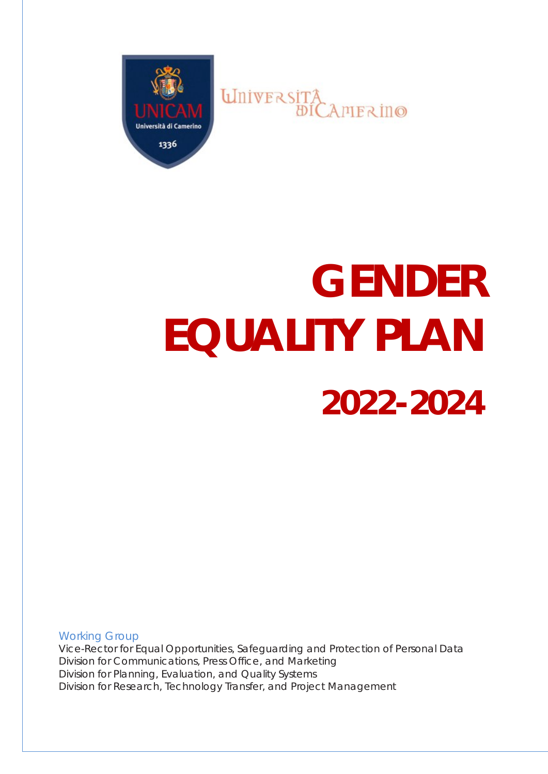

**UNIVERSITA**<br>BICAMERINO

# **GENDER EQUALITY PLAN 2022-2024**

Working Group

Vice-Rector for Equal Opportunities, Safeguarding and Protection of Personal Data Division for Communications, Press Office, and Marketing Division for Planning, Evaluation, and Quality Systems Division for Research, Technology Transfer, and Project Management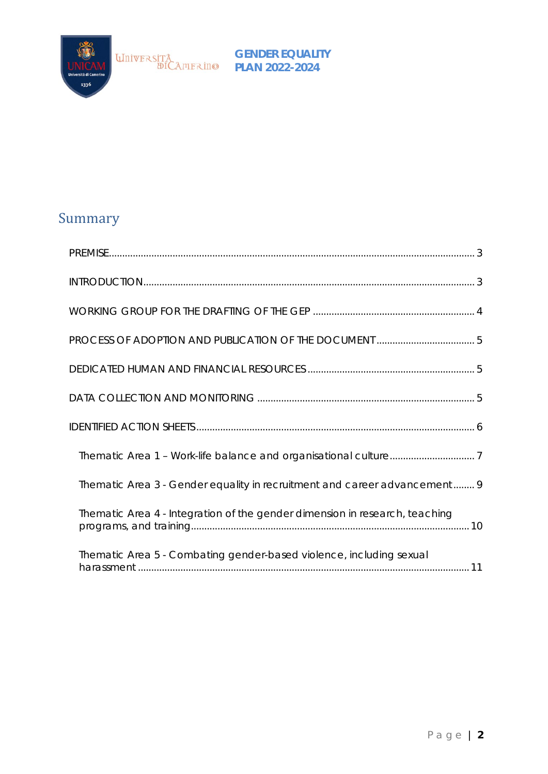

## Summary

| Thematic Area 3 - Gender equality in recruitment and career advancement 9   |
|-----------------------------------------------------------------------------|
| Thematic Area 4 - Integration of the gender dimension in research, teaching |
| Thematic Area 5 - Combating gender-based violence, including sexual         |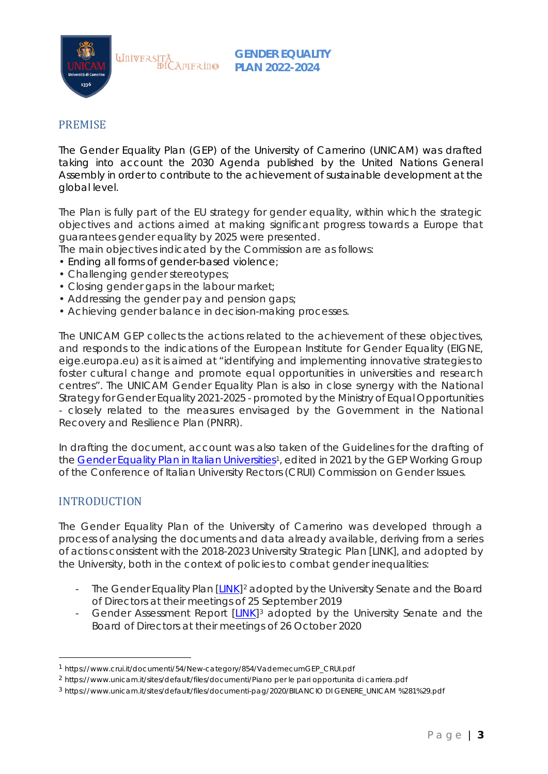

Whiversitâ<br>diCamerino

#### <span id="page-2-0"></span>PREMISE

The Gender Equality Plan (GEP) of the University of Camerino (UNICAM) was drafted taking into account the 2030 Agenda published by the United Nations General Assembly in order to contribute to the achievement of sustainable development at the global level.

The Plan is fully part of the EU strategy for gender equality, within which the strategic objectives and actions aimed at making significant progress towards a Europe that guarantees gender equality by 2025 were presented.

The main objectives indicated by the Commission are as follows:

- Ending all forms of gender-based violence;
- Challenging gender stereotypes;
- Closing gender gaps in the labour market;
- Addressing the gender pay and pension gaps;
- Achieving gender balance in decision-making processes.

The UNICAM GEP collects the actions related to the achievement of these objectives, and responds to the indications of the European Institute for Gender Equality (EIGNE, eige.europa.eu) as it is aimed at "identifying and implementing innovative strategies to foster cultural change and promote equal opportunities in universities and research centres". The UNICAM Gender Equality Plan is also in close synergy with the National Strategy for Gender Equality 2021-2025 - promoted by the Ministry of Equal Opportunities - closely related to the measures envisaged by the Government in the National Recovery and Resilience Plan (PNRR).

In drafting the document, account was also taken of the Guidelines for the drafting of the [Gender Equality Plan in Italian Universities](https://www.crui.it/documenti/54/New-category/854/VademecumGEP_CRUI.pdf)<sup>1</sup>, edited in 2021 by the GEP Working Group of the Conference of Italian University Rectors (CRUI) Commission on Gender Issues.

#### <span id="page-2-1"></span>**INTRODUCTION**

The Gender Equality Plan of the University of Camerino was developed through a process of analysing the documents and data already available, deriving from a series of actions consistent with the 2018-2023 University Strategic Plan [LINK], and adopted by the University, both in the context of policies to combat gender inequalities:

- The Gender Equality Plan [\[LINK\]](https://www.unicam.it/sites/default/files/documenti/Piano%20per%20le%20pari%20opportunita%20di%20carriera.pdf)<sup>[2](#page-2-3)</sup> adopted by the University Senate and the Board of Directors at their meetings of 25 September 2019
- Gender Assessment Report [\[LINK\]](https://www.unicam.it/sites/default/files/documenti-pag/2020/BILANCIO%20DI%20GENERE_UNICAM%20%281%29.pdf)<sup>[3](#page-2-4)</sup> adopted by the University Senate and the Board of Directors at their meetings of 26 October 2020

<span id="page-2-2"></span><sup>1</sup> https://www.crui.it/documenti/54/New-category/854/VademecumGEP\_CRUI.pdf

<span id="page-2-3"></span><sup>2</sup> https://www.unicam.it/sites/default/files/documenti/Piano per le pari opportunita di carriera.pdf

<span id="page-2-4"></span><sup>3</sup> https://www.unicam.it/sites/default/files/documenti-pag/2020/BILANCIO DI GENERE\_UNICAM %281%29.pdf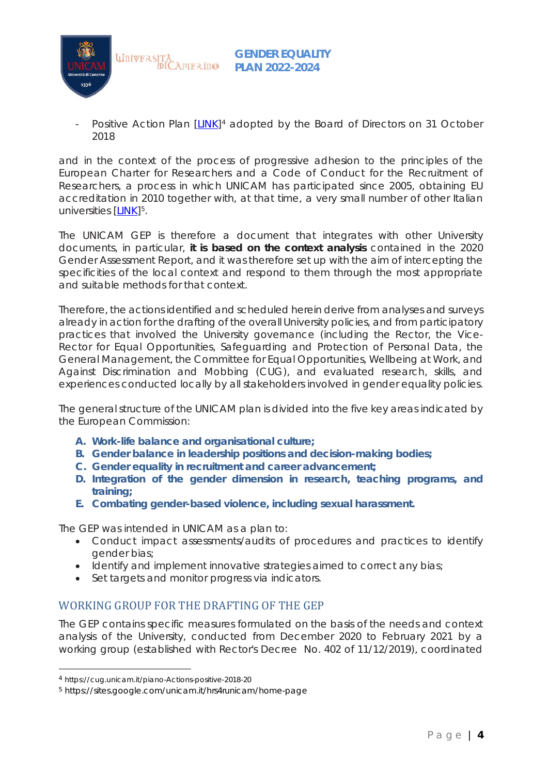

Positive Action Plan [\[LINK\]](https://cug.unicam.it/piano-azioni-positive-2018-20)<sup>[4](#page-3-1)</sup> adopted by the Board of Directors on 31 October 2018

and in the context of the process of progressive adhesion to the principles of the European Charter for Researchers and a Code of Conduct for the Recruitment of Researchers, a process in which UNICAM has participated since 2005, obtaining EU accreditation in 2010 together with, at that time, a very small number of other Italian universities [\[LINK\]](https://sites.google.com/unicam.it/hrs4runicam/home-page)<sup>[5](#page-3-2)</sup>.

The UNICAM GEP is therefore a document that integrates with other University documents, in particular, **it is based on the context analysis** contained in the 2020 Gender Assessment Report, and it was therefore set up with the aim of intercepting the specificities of the local context and respond to them through the most appropriate and suitable methods for that context.

Therefore, the actions identified and scheduled herein derive from analyses and surveys already in action for the drafting of the overall University policies, and from participatory practices that involved the University governance (including the Rector, the Vice-Rector for Equal Opportunities, Safeguarding and Protection of Personal Data, the General Management, the Committee for Equal Opportunities, Wellbeing at Work, and Against Discrimination and Mobbing (CUG), and evaluated research, skills, and experiences conducted locally by all stakeholders involved in gender equality policies.

The general structure of the UNICAM plan is divided into the five key areas indicated by the European Commission:

- **A. Work-life balance and organisational culture;**
- **B. Gender balance in leadership positions and decision-making bodies;**
- **C. Gender equality in recruitment and career advancement;**
- **D. Integration of the gender dimension in research, teaching programs, and training;**
- **E. Combating gender-based violence, including sexual harassment.**

The GEP was intended in UNICAM as a plan to:

- Conduct impact assessments/audits of procedures and practices to identify gender bias;
- Identify and implement innovative strategies aimed to correct any bias;
- Set targets and monitor progress via indicators.

#### <span id="page-3-0"></span>WORKING GROUP FOR THE DRAFTING OF THE GEP

The GEP contains specific measures formulated on the basis of the needs and context analysis of the University, conducted from December 2020 to February 2021 by a working group (established with Rector's Decree No. 402 of 11/12/2019), coordinated

<span id="page-3-1"></span><sup>4</sup> https://cug.unicam.it/piano-Actions-positive-2018-20

<span id="page-3-2"></span><sup>5</sup> https://sites.google.com/unicam.it/hrs4runicam/home-page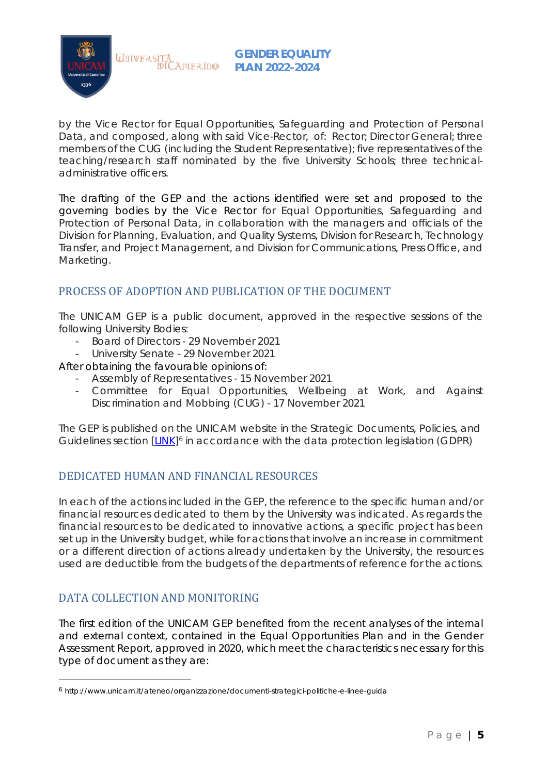Universitâ<br>diCamerino



by the Vice Rector for Equal Opportunities, Safeguarding and Protection of Personal Data, and composed, along with said Vice-Rector, of: Rector; Director General; three members of the CUG (including the Student Representative); five representatives of the teaching/research staff nominated by the five University Schools; three technicaladministrative officers.

*GENDER EQUALITY PLAN 2022-2024*

The drafting of the GEP and the actions identified were set and proposed to the governing bodies by the Vice Rector for Equal Opportunities, Safeguarding and Protection of Personal Data, in collaboration with the managers and officials of the Division for Planning, Evaluation, and Quality Systems, Division for Research, Technology Transfer, and Project Management, and Division for Communications, Press Office, and Marketing.

#### <span id="page-4-0"></span>PROCESS OF ADOPTION AND PUBLICATION OF THE DOCUMENT

The UNICAM GEP is a public document, approved in the respective sessions of the following University Bodies:

- Board of Directors 29 November 2021
- University Senate 29 November 2021

After obtaining the favourable opinions of:

- Assembly of Representatives 15 November 2021
- Committee for Equal Opportunities, Wellbeing at Work, and Against Discrimination and Mobbing (CUG) - 17 November 2021

The GEP is published on the UNICAM website in the *Strategic Documents, Policies, and Guidelines* section [\[LINK\]](http://www.unicam.it/ateneo/organizzazione/documenti-strategici-politiche-e-linee-guida)<sup>[6](#page-4-3)</sup> in accordance with the data protection legislation (GDPR)

#### <span id="page-4-1"></span>DEDICATED HUMAN AND FINANCIAL RESOURCES

In each of the actions included in the GEP, the reference to the specific human and/or financial resources dedicated to them by the University was indicated. As regards the financial resources to be dedicated to innovative actions, a specific project has been set up in the University budget, while for actions that involve an increase in commitment or a different direction of actions already undertaken by the University, the resources used are deductible from the budgets of the departments of reference for the actions.

#### <span id="page-4-2"></span>DATA COLLECTION AND MONITORING

The first edition of the UNICAM GEP benefited from the recent analyses of the internal and external context, contained in the Equal Opportunities Plan and in the Gender Assessment Report, approved in 2020, which meet the characteristics necessary for this type of document as they are:

<span id="page-4-3"></span><sup>6</sup> http://www.unicam.it/ateneo/organizzazione/documenti-strategici-politiche-e-linee-guida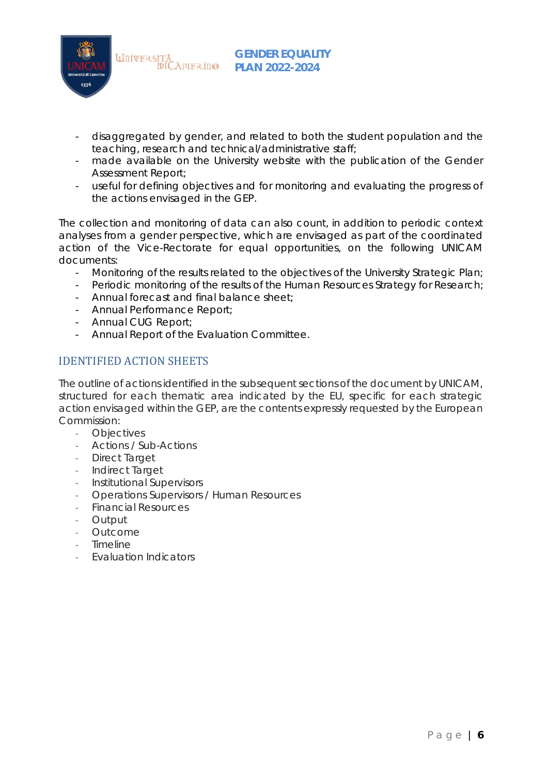

- disaggregated by gender, and related to both the student population and the teaching, research and technical/administrative staff;
- made available on the University website with the publication of the Gender Assessment Report;
- useful for defining objectives and for monitoring and evaluating the progress of the actions envisaged in the GEP.

The collection and monitoring of data can also count, in addition to periodic context analyses from a gender perspective, which are envisaged as part of the coordinated action of the Vice-Rectorate for equal opportunities, on the following UNICAM documents:

- Monitoring of the results related to the objectives of the University Strategic Plan;
- Periodic monitoring of the results of the Human Resources Strategy for Research;
- Annual forecast and final balance sheet;
- Annual Performance Report;
- Annual CUG Report;
- Annual Report of the Evaluation Committee.

#### <span id="page-5-0"></span>IDENTIFIED ACTION SHEETS

The outline of actions identified in the subsequent sections of the document by UNICAM, structured for each thematic area indicated by the EU, specific for each strategic action envisaged within the GEP, are the contents expressly requested by the European Commission:

- Objectives
- Actions / Sub-Actions
- Direct Target
- Indirect Target
- Institutional Supervisors
- Operations Supervisors / Human Resources
- Financial Resources
- Output
- Outcome
- Timeline
- Evaluation Indicators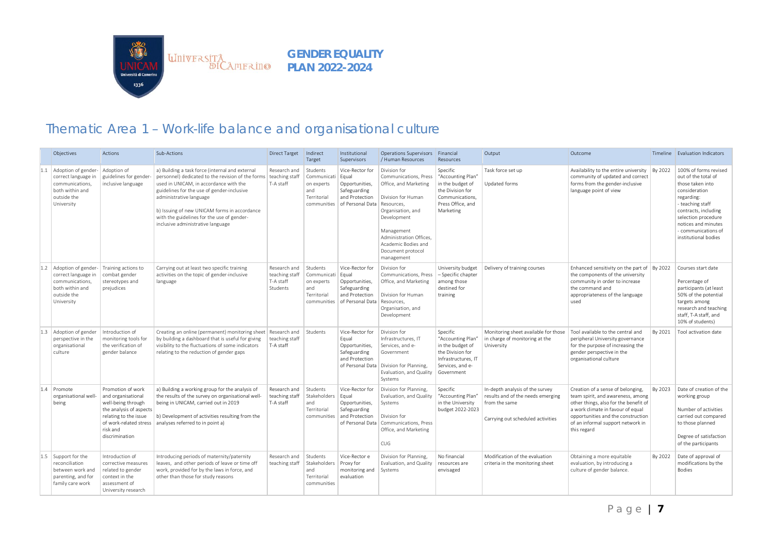

## Thematic Area 1 – Work-life balance and organisational culture

<span id="page-6-0"></span>

|     | Objectives                                                                                                   | <b>Actions</b>                                                                                                                                                            | Sub-Actions                                                                                                                                                                                                                                                                                                                                                | <b>Direct Target</b>                                    | Indirect<br>Target                                                         | Institutional<br>Supervisors                                                                     | Operations Supervisors<br>/ Human Resources                                                                                                                                                                                               | Financial<br>Resources                                                                                                         | Output                                                                                                                     | Outcome                                                                                                                                                                                                                                        |         | Timeline Evaluation Indicators                                                                                                                                                                                                           |
|-----|--------------------------------------------------------------------------------------------------------------|---------------------------------------------------------------------------------------------------------------------------------------------------------------------------|------------------------------------------------------------------------------------------------------------------------------------------------------------------------------------------------------------------------------------------------------------------------------------------------------------------------------------------------------------|---------------------------------------------------------|----------------------------------------------------------------------------|--------------------------------------------------------------------------------------------------|-------------------------------------------------------------------------------------------------------------------------------------------------------------------------------------------------------------------------------------------|--------------------------------------------------------------------------------------------------------------------------------|----------------------------------------------------------------------------------------------------------------------------|------------------------------------------------------------------------------------------------------------------------------------------------------------------------------------------------------------------------------------------------|---------|------------------------------------------------------------------------------------------------------------------------------------------------------------------------------------------------------------------------------------------|
| 1.1 | Adoption of gender<br>correct language in<br>communications.<br>both within and<br>outside the<br>University | Adoption of<br>guidelines for gender<br>inclusive language                                                                                                                | a) Building a task force (internal and external<br>personnel) dedicated to the revision of the forms<br>used in UNICAM, in accordance with the<br>guidelines for the use of gender-inclusive<br>administrative language<br>b) Issuing of new UNICAM forms in accordance<br>with the guidelines for the use of gender-<br>inclusive administrative language | Research and<br>teaching staff<br>T-A staff             | Students<br>Communicati<br>on experts<br>and<br>Territorial<br>communities | Vice-Rector for<br>Equal<br>Opportunities.<br>Safeguarding<br>and Protection<br>of Personal Data | Division for<br>Communications, Press<br>Office, and Marketing<br>Division for Human<br>Resources.<br>Organisation, and<br>Development<br>Management<br>Administration Offices.<br>Academic Bodies and<br>Document protocol<br>management | Specific<br>"Accounting Plan"<br>in the budget of<br>the Division for<br>Communications.<br>Press Office, and<br>Marketing     | Task force set up<br>Updated forms                                                                                         | Availability to the entire university<br>community of updated and correct<br>forms from the gender-inclusive<br>language point of view                                                                                                         | By 2022 | 100% of forms revised<br>out of the total of<br>those taken into<br>consideration<br>regarding:<br>- teaching staff<br>contracts, including<br>selection procedure<br>notices and minutes<br>- communications of<br>institutional bodies |
| 1.2 | Adoption of gender<br>correct language in<br>communications.<br>both within and<br>outside the<br>University | Training actions to<br>combat gender<br>stereotypes and<br>prejudices                                                                                                     | Carrying out at least two specific training<br>activities on the topic of gender-inclusive<br>language                                                                                                                                                                                                                                                     | Research and<br>teaching staff<br>T-A staff<br>Students | Students<br>Communicati<br>on experts<br>and<br>Territorial<br>communities | Vice-Rector for<br>Equal<br>Opportunities,<br>Safeguarding<br>and Protection<br>of Personal Data | Division for<br>Communications, Press<br>Office, and Marketing<br>Division for Human<br>Resources,<br>Organisation, and<br>Development                                                                                                    | University budget<br>- Specific chapter<br>among those<br>destined for<br>training                                             | Delivery of training courses                                                                                               | Enhanced sensitivity on the part of   By 2022<br>the components of the university<br>community in order to increase<br>the command and<br>appropriateness of the language<br>used                                                              |         | Courses start date<br>Percentage of<br>participants (at least<br>50% of the potential<br>targets among<br>research and teaching<br>staff, T-A staff, and<br>10% of students)                                                             |
|     | 1.3 Adoption of gender<br>perspective in the<br>organisational<br>culture                                    | Introduction of<br>monitoring tools for<br>the verification of<br>gender balance                                                                                          | Creating an online (permanent) monitoring sheet<br>by building a dashboard that is useful for giving<br>visibility to the fluctuations of some indicators<br>relating to the reduction of gender gaps                                                                                                                                                      | Research and<br>teaching staff<br>T-A staff             | Students                                                                   | Vice-Rector for<br>Equal<br>Opportunities,<br>Safeguarding<br>and Protection<br>of Personal Data | Division for<br>Infrastructures. IT<br>Services, and e-<br>Government<br>Division for Planning.<br>Evaluation, and Quality<br>Systems                                                                                                     | Specific<br>"Accounting Plan"<br>in the budget of<br>the Division for<br>Infrastructures, IT<br>Services, and e-<br>Government | Monitoring sheet available for those<br>in charge of monitoring at the<br>University                                       | Tool available to the central and<br>peripheral University governance<br>for the purpose of increasing the<br>gender perspective in the<br>organisational culture                                                                              | By 2021 | Tool activation date                                                                                                                                                                                                                     |
| 1.4 | Promote<br>organisational well-<br>being                                                                     | Promotion of work<br>and organisational<br>well-being through<br>the analysis of aspects<br>relating to the issue<br>of work-related stress<br>risk and<br>discrimination | a) Building a working group for the analysis of<br>the results of the survey on organisational well-<br>being in UNICAM, carried out in 2019<br>b) Development of activities resulting from the<br>analyses referred to in point a)                                                                                                                        | Research and<br>teaching staff<br>T-A staff             | Students<br>Stakeholders<br>and<br>Territorial<br>communities              | Vice-Rector for<br>Equal<br>Opportunities,<br>Safeguarding<br>and Protection<br>of Personal Data | Division for Planning.<br>Evaluation, and Quality<br>Systems<br>Division for<br>Communications, Press<br>Office, and Marketing<br>CUG                                                                                                     | Specific<br>"Accounting Plan"<br>in the University<br>budget 2022-2023                                                         | In-depth analysis of the survey<br>results and of the needs emerging<br>from the same<br>Carrying out scheduled activities | Creation of a sense of belonging,<br>team spirit, and awareness, among<br>other things, also for the benefit of<br>a work climate in favour of equal<br>opportunities and the construction<br>of an informal support network in<br>this regard | By 2023 | Date of creation of the<br>working group<br>Number of activities<br>carried out compared<br>to those planned<br>Degree of satisfaction<br>of the participants                                                                            |
| 1.5 | Support for the<br>reconciliation<br>between work and<br>parenting, and for<br>family care work              | Introduction of<br>corrective measures<br>related to gender<br>context in the<br>assessment of<br>University research                                                     | Introducing periods of maternity/paternity<br>leaves, and other periods of leave or time off<br>work, provided for by the laws in force, and<br>other than those for study reasons                                                                                                                                                                         | Research and<br>teaching staff                          | Students<br>Stakeholders<br>and<br>Territorial<br>communities              | Vice-Rector e<br>Proxy for<br>monitoring and<br>evaluation                                       | Division for Planning,<br>Evaluation, and Quality<br>Systems                                                                                                                                                                              | No financial<br>resources are<br>envisaged                                                                                     | Modification of the evaluation<br>criteria in the monitoring sheet                                                         | Obtaining a more equitable<br>evaluation, by introducing a<br>culture of gender balance.                                                                                                                                                       | By 2022 | Date of approval of<br>modifications by the<br><b>Bodies</b>                                                                                                                                                                             |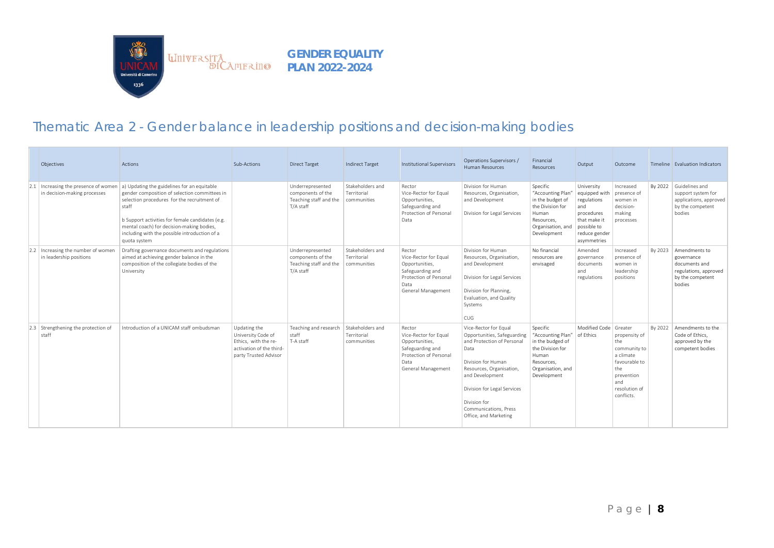

## Thematic Area 2 - Gender balance in leadership positions and decision-making bodies

|     | Objectives                                                       | <b>Actions</b>                                                                                                                                                                                                                                                                                                         | Sub-Actions                                                                                                     | <b>Direct Target</b>                                                         | Indirect Target                                | <b>Institutional Supervisors</b>                                                                                              | Operations Supervisors /<br>Human Resources                                                                                                                                                                                                                      | Financial<br>Resources                                                                                                           | Output                                                                                                                         | Outcome                                                                                                                                  |         | Timeline Evaluation Indicators                                                                      |
|-----|------------------------------------------------------------------|------------------------------------------------------------------------------------------------------------------------------------------------------------------------------------------------------------------------------------------------------------------------------------------------------------------------|-----------------------------------------------------------------------------------------------------------------|------------------------------------------------------------------------------|------------------------------------------------|-------------------------------------------------------------------------------------------------------------------------------|------------------------------------------------------------------------------------------------------------------------------------------------------------------------------------------------------------------------------------------------------------------|----------------------------------------------------------------------------------------------------------------------------------|--------------------------------------------------------------------------------------------------------------------------------|------------------------------------------------------------------------------------------------------------------------------------------|---------|-----------------------------------------------------------------------------------------------------|
| 2.1 | Increasing the presence of women<br>in decision-making processes | a) Updating the guidelines for an equitable<br>gender composition of selection committees in<br>selection procedures for the recruitment of<br>staff<br>b Support activities for female candidates (e.g.<br>mental coach) for decision-making bodies,<br>including with the possible introduction of a<br>quota system |                                                                                                                 | Underrepresented<br>components of the<br>Teaching staff and the<br>T/A staff | Stakeholders and<br>Territorial<br>communities | Rector<br>Vice-Rector for Equal<br>Opportunities,<br>Safeguarding and<br>Protection of Personal<br>Data                       | Division for Human<br>Resources, Organisation,<br>and Development<br>Division for Legal Services                                                                                                                                                                 | Specific<br>"Accounting Plan"<br>in the budget of<br>the Division for<br>Human<br>Resources.<br>Organisation, and<br>Development | University<br>equipped with<br>regulations<br>and<br>procedures<br>that make it<br>possible to<br>reduce gender<br>asymmetries | Increased<br>presence of<br>women in<br>decision-<br>making<br>processes                                                                 | By 2022 | Guidelines and<br>support system for<br>applications, approved<br>by the competent<br>bodies        |
| 2.2 | Increasing the number of women<br>in leadership positions        | Drafting governance documents and regulations<br>aimed at achieving gender balance in the<br>composition of the collegiate bodies of the<br>University                                                                                                                                                                 |                                                                                                                 | Underrepresented<br>components of the<br>Teaching staff and the<br>T/A staff | Stakeholders and<br>Territorial<br>communities | Rector<br>Vice-Rector for Equal<br>Opportunities,<br>Safeguarding and<br>Protection of Personal<br>Data<br>General Management | Division for Human<br>Resources, Organisation,<br>and Development<br>Division for Legal Services<br>Division for Planning,<br>Evaluation, and Quality<br>Systems<br><b>CUG</b>                                                                                   | No financial<br>resources are<br>envisaged                                                                                       | Amended<br>governance<br>documents<br>and<br>regulations                                                                       | Increased<br>presence of<br>women in<br>leadership<br>positions                                                                          | By 2023 | Amendments to<br>governance<br>documents and<br>regulations, approved<br>by the competent<br>bodies |
| 2.3 | Strengthening the protection of<br>staff                         | Introduction of a UNICAM staff ombudsman                                                                                                                                                                                                                                                                               | Updating the<br>University Code of<br>Ethics. with the re-<br>activation of the third-<br>party Trusted Advisor | Teaching and research<br>staff<br>T-A staff                                  | Stakeholders and<br>Territorial<br>communities | Rector<br>Vice-Rector for Equal<br>Opportunities,<br>Safeguarding and<br>Protection of Personal<br>Data<br>General Management | Vice-Rector for Equal<br>Opportunities, Safeguarding<br>and Protection of Personal<br>Data<br>Division for Human<br>Resources, Organisation,<br>and Development<br>Division for Legal Services<br>Division for<br>Communications, Press<br>Office, and Marketing | Specific<br>"Accounting Plan"<br>in the budged of<br>the Division for<br>Human<br>Resources.<br>Organisation, and<br>Development | Modified Code<br>of Ethics                                                                                                     | Greater<br>propensity of<br>the<br>community to<br>a climate<br>favourable to<br>the<br>prevention<br>and<br>resolution of<br>conflicts. | By 2022 | Amendments to the<br>Code of Ethics.<br>approved by the<br>competent bodies                         |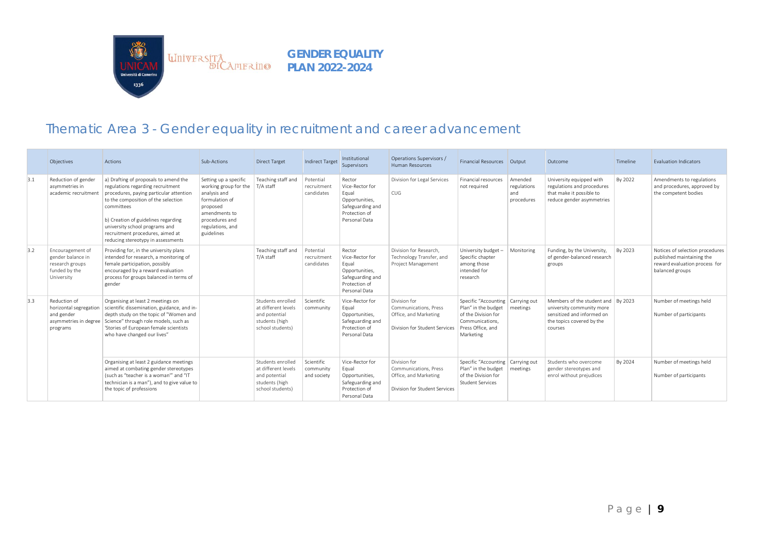

## Thematic Area 3 - Gender equality in recruitment and career advancement

<span id="page-8-0"></span>

|     | Objectives                                                                                | Actions                                                                                                                                                                                                                                                                                                                       | Sub-Actions                                                                                                                                                       | <b>Direct Target</b>                                                                            | <b>Indirect Target</b>                 | Institutional<br>Supervisors                                                                               | Operations Supervisors /<br>Human Resources                                                     | Financial Resources   Output                                                                                            |                                             | Outcome                                                                                                                               | Timeline | <b>Evaluation Indicators</b>                                                                                     |
|-----|-------------------------------------------------------------------------------------------|-------------------------------------------------------------------------------------------------------------------------------------------------------------------------------------------------------------------------------------------------------------------------------------------------------------------------------|-------------------------------------------------------------------------------------------------------------------------------------------------------------------|-------------------------------------------------------------------------------------------------|----------------------------------------|------------------------------------------------------------------------------------------------------------|-------------------------------------------------------------------------------------------------|-------------------------------------------------------------------------------------------------------------------------|---------------------------------------------|---------------------------------------------------------------------------------------------------------------------------------------|----------|------------------------------------------------------------------------------------------------------------------|
| 3.1 | Reduction of gender<br>asymmetries in<br>academic recruitment                             | a) Drafting of proposals to amend the<br>regulations regarding recruitment<br>procedures, paying particular attention<br>to the composition of the selection<br>committees<br>b) Creation of guidelines regarding<br>university school programs and<br>recruitment procedures, aimed at<br>reducing stereotypy in assessments | Setting up a specific<br>working group for the<br>analysis and<br>formulation of<br>proposed<br>amendments to<br>procedures and<br>regulations, and<br>guidelines | Teaching staff and<br>T/A staff                                                                 | Potential<br>recruitment<br>candidates | Rector<br>Vice-Rector for<br>Equal<br>Opportunities.<br>Safeguarding and<br>Protection of<br>Personal Data | Division for Legal Services<br>CUG                                                              | Financial resources<br>not required                                                                                     | Amended<br>regulations<br>and<br>procedures | University equipped with<br>regulations and procedures<br>that make it possible to<br>reduce gender asymmetries                       | By 2022  | Amendments to regulations<br>and procedures, approved by<br>the competent bodies                                 |
| 3.2 | Encouragement of<br>gender balance in<br>research groups<br>funded by the<br>University   | Providing for, in the university plans<br>intended for research, a monitoring of<br>female participation, possibly<br>encouraged by a reward evaluation<br>process for groups balanced in terms of<br>gender                                                                                                                  |                                                                                                                                                                   | Teaching staff and<br>T/A staff                                                                 | Potential<br>recruitment<br>candidates | Rector<br>Vice-Rector for<br>Equal<br>Opportunities,<br>Safeguarding and<br>Protection of<br>Personal Data | Division for Research.<br>Technology Transfer, and<br>Project Management                        | University budget<br>Specific chapter<br>among those<br>intended for<br>research                                        | Monitoring                                  | Funding, by the University,<br>of gender-balanced research<br>groups                                                                  | By 2023  | Notices of selection procedures<br>published maintaining the<br>reward evaluation process for<br>balanced groups |
| 3.3 | Reduction of<br>horizontal segregation<br>and gender<br>asymmetries in degree<br>programs | Organising at least 2 meetings on<br>scientific dissemination, guidance, and in-<br>depth study on the topic of "Women and<br>Science" through role models, such as<br>'Stories of European female scientists<br>who have changed our lives"                                                                                  |                                                                                                                                                                   | Students enrolled<br>at different levels<br>and potential<br>students (high<br>school students) | Scientific<br>community                | Vice-Rector for<br>Equal<br>Opportunities,<br>Safeguarding and<br>Protection of<br>Personal Data           | Division for<br>Communications, Press<br>Office, and Marketing<br>Division for Student Services | Specific "Accounting<br>Plan" in the budget<br>of the Division for<br>Communications.<br>Press Office, and<br>Marketing | Carrying out<br>meetings                    | Members of the student and By 2023<br>university community more<br>sensitized and informed on<br>the topics covered by the<br>courses |          | Number of meetings held<br>Number of participants                                                                |
|     |                                                                                           | Organising at least 2 guidance meetings<br>aimed at combating gender stereotypes<br>(such as "teacher is a woman" and "IT<br>technician is a man"), and to give value to<br>the topic of professions                                                                                                                          |                                                                                                                                                                   | Students enrolled<br>at different levels<br>and potential<br>students (high<br>school students) | Scientific<br>community<br>and society | Vice-Rector for<br>Equal<br>Opportunities,<br>Safeguarding and<br>Protection of<br>Personal Data           | Division for<br>Communications, Press<br>Office, and Marketing<br>Division for Student Services | Specific "Accounting<br>Plan" in the budget<br>of the Division for<br><b>Student Services</b>                           | Carrying out<br>meetings                    | Students who overcome<br>gender stereotypes and<br>enrol without prejudices                                                           | By 2024  | Number of meetings held<br>Number of participants                                                                |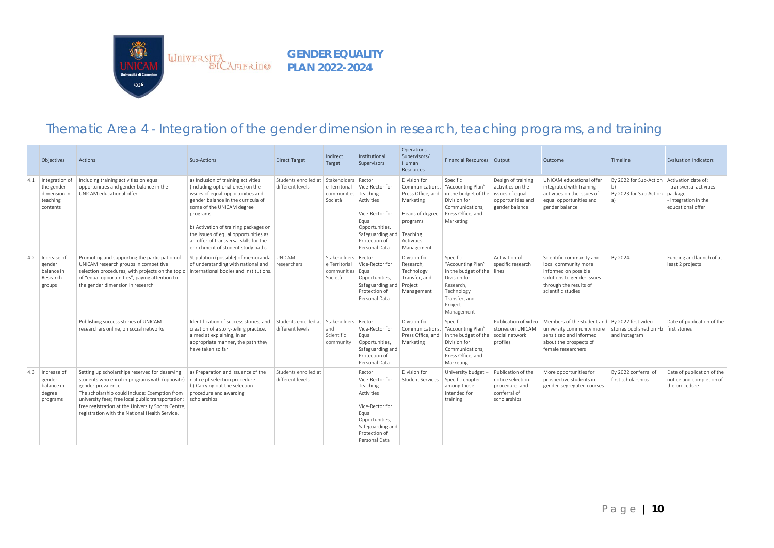

## Thematic Area 4 - Integration of the gender dimension in research, teaching programs, and training

<span id="page-9-0"></span>

|     | Objectives                                                           | Actions                                                                                                                                                                                                                                                                                                                               | Sub-Actions                                                                                                                                                                                                                                                                                                                                                  | <b>Direct Target</b>                     | Indirect<br>Target                                      | Institutional<br>Supervisors                                                                                                                            | Operations<br>Supervisors/<br>Human<br>Resources                                                                                         | Financial Resources   Output                                                                                                                     |                                                                                                   | Outcome                                                                                                                                                | Timeline                                                                        | <b>Evaluation Indicators</b>                                                                        |
|-----|----------------------------------------------------------------------|---------------------------------------------------------------------------------------------------------------------------------------------------------------------------------------------------------------------------------------------------------------------------------------------------------------------------------------|--------------------------------------------------------------------------------------------------------------------------------------------------------------------------------------------------------------------------------------------------------------------------------------------------------------------------------------------------------------|------------------------------------------|---------------------------------------------------------|---------------------------------------------------------------------------------------------------------------------------------------------------------|------------------------------------------------------------------------------------------------------------------------------------------|--------------------------------------------------------------------------------------------------------------------------------------------------|---------------------------------------------------------------------------------------------------|--------------------------------------------------------------------------------------------------------------------------------------------------------|---------------------------------------------------------------------------------|-----------------------------------------------------------------------------------------------------|
| 4.1 | Integration of<br>the gender<br>dimension in<br>teaching<br>contents | Including training activities on equal<br>opportunities and gender balance in the<br>UNICAM educational offer                                                                                                                                                                                                                         | a) Inclusion of training activities<br>(including optional ones) on the<br>issues of equal opportunities and<br>gender balance in the curricula of<br>some of the UNICAM degree<br>programs<br>b) Activation of training packages on<br>the issues of equal opportunities as<br>an offer of transversal skills for the<br>enrichment of student study paths. | Students enrolled at<br>different levels | Stakeholders<br>e Territorial<br>communities<br>Società | Rector<br>Vice-Rector for<br>Teaching<br>Activities<br>Vice-Rector for<br>Equal<br>Opportunities,<br>Safeguarding and<br>Protection of<br>Personal Data | Division for<br>Communications.<br>Press Office, and<br>Marketing<br>Heads of degree<br>programs<br>Teaching<br>Activities<br>Management | Specific<br>"Accounting Plan"<br>in the budget of the<br>Division for<br>Communications.<br>Press Office, and<br>Marketing                       | Design of training<br>activities on the<br>issues of equal<br>opportunities and<br>gender balance | UNICAM educational offer<br>integrated with training<br>activities on the issues of<br>equal opportunities and<br>gender balance                       | By 2022 for Sub-Action<br>By 2023 for Sub-Action<br>a)                          | Activation date of:<br>transversal activities<br>package<br>integration in the<br>educational offer |
| 4.2 | Increase of<br>gender<br>balance in<br>Research<br>groups            | Promoting and supporting the participation of<br>UNICAM research groups in competitive<br>selection procedures, with projects on the topic<br>of "equal opportunities", paying attention to<br>the gender dimension in research                                                                                                       | Stipulation (possible) of memoranda<br>of understanding with national and<br>international bodies and institutions.                                                                                                                                                                                                                                          | <b>UNICAM</b><br>researchers             | Stakeholders<br>e Territorial<br>communities<br>Società | Rector<br>Vice-Rector for<br>Eaual<br>Opportunities,<br>Safeguarding and<br>Protection of<br>Personal Data                                              | Division for<br>Research,<br>Technology<br>Transfer, and<br>Project<br>Management                                                        | Specific<br>"Accounting Plan"<br>in the budget of the lines<br>Division for<br>Research.<br>Technology<br>Transfer, and<br>Project<br>Management | Activation of<br>specific research                                                                | Scientific community and<br>local community more<br>informed on possible<br>solutions to gender issues<br>through the results of<br>scientific studies | By 2024                                                                         | Funding and launch of at<br>least 2 projects                                                        |
|     |                                                                      | Publishing success stories of UNICAM<br>researchers online, on social networks                                                                                                                                                                                                                                                        | Identification of success stories, and<br>creation of a story-telling practice,<br>aimed at explaining, in an<br>appropriate manner, the path they<br>have taken so far                                                                                                                                                                                      | Students enrolled at<br>different levels | Stakeholders<br>and<br>Scientific<br>community          | Rector<br>Vice-Rector for<br>Equal<br>Opportunities,<br>Safeguarding and<br>Protection of<br>Personal Data                                              | Division for<br>Communications<br>Press Office, and<br>Marketing                                                                         | Specific<br>"Accounting Plan"<br>in the budget of the<br>Division for<br>Communications.<br>Press Office, and<br>Marketing                       | Publication of video<br>stories on UNICAM<br>social network<br>profiles                           | Members of the student and<br>university community more<br>sensitized and informed<br>about the prospects of<br>female researchers                     | By 2022 first video<br>stories published on Fb   first stories<br>and Instagram | Date of publication of the                                                                          |
| 4.3 | Increase of<br>gender<br>balance in<br>degree<br>programs            | Setting up scholarships reserved for deserving<br>students who enrol in programs with (opposite)<br>gender prevalence.<br>The scholarship could include: Exemption from<br>university fees; free local public transportation;<br>free registration at the University Sports Centre;<br>registration with the National Health Service. | a) Preparation and issuance of the<br>notice pf selection procedure<br>b) Carrying out the selection<br>procedure and awarding<br>scholarships                                                                                                                                                                                                               | Students enrolled at<br>different levels |                                                         | Rector<br>Vice-Rector for<br>Teaching<br>Activities<br>Vice-Rector for<br>Equal<br>Opportunities,<br>Safeguarding and<br>Protection of<br>Personal Data | Division for<br><b>Student Services</b>                                                                                                  | University budget<br>Specific chapter<br>among those<br>intended for<br>training                                                                 | Publication of the<br>notice selection<br>procedure and<br>conferral of<br>scholarships           | More opportunities for<br>prospective students in<br>gender-segregated courses                                                                         | By 2022 conferral of<br>first scholarships                                      | Date of publication of the<br>notice and completion of<br>the procedure                             |